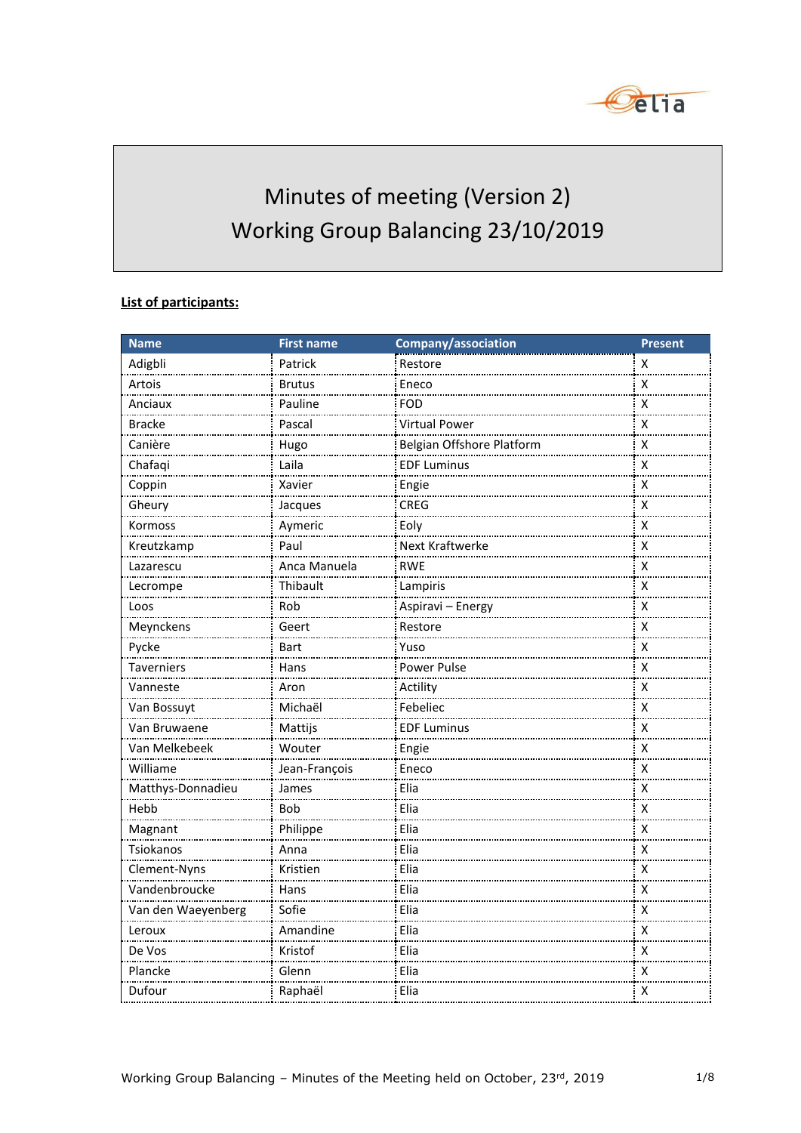

# Minutes of meeting (Version 2) Working Group Balancing 23/10/2019

#### **List of participants:**

| <b>Name</b>        | <b>First name</b> | Company/association       | <b>Present</b>     |
|--------------------|-------------------|---------------------------|--------------------|
| Adigbli            | Patrick           | Restore                   | X                  |
| Artois             | Brutus            | Eneco                     | x                  |
| Anciaux            | Pauline           | <b>FOD</b>                | $\pmb{\mathsf{X}}$ |
| <b>Bracke</b>      | Pascal            | <b>Virtual Power</b>      | $\pmb{\mathsf{X}}$ |
| Canière            | Hugo              | Belgian Offshore Platform | $\pmb{\mathsf{X}}$ |
| Chafaqi            | Laila             | <b>EDF Luminus</b>        | $\pmb{\mathsf{X}}$ |
| Coppin             | Xavier            | Engie                     | х                  |
| Gheury             | Jacques           | <b>CREG</b>               | $\pmb{\mathsf{X}}$ |
| Kormoss<br>.       | Aymeric           | Eoly                      | $\pmb{\mathsf{X}}$ |
| Kreutzkamp         | Paul              | Next Kraftwerke           | х                  |
| Lazarescu          | Anca Manuela      | <b>RWE</b>                | х                  |
| Lecrompe           | Thibault          | Lampiris                  | $\pmb{\mathsf{X}}$ |
| Loos               | Rob               | Aspiravi - Energy         | X                  |
| Meynckens          | Geert             | Restore                   | X                  |
| Pycke              | Bart              | Yuso                      | $\pmb{\mathsf{X}}$ |
| Taverniers         | Hans              | Power Pulse               | х                  |
| Vanneste           | Aron              | Actility                  | $\pmb{\mathsf{X}}$ |
| Van Bossuyt        | Michaël           | Febeliec                  | х                  |
| Van Bruwaene       | Mattijs           | <b>EDF Luminus</b>        | х                  |
| Van Melkebeek      | Wouter            | Engie                     | $\pmb{\mathsf{X}}$ |
| Williame           | Jean-François     | Eneco                     | $\pmb{\mathsf{X}}$ |
| Matthys-Donnadieu  | James             | Elia                      | х                  |
| Hebb               | Bob               | Elia                      | $\pmb{\mathsf{X}}$ |
| Magnant            | Philippe          | Elia                      | $\pmb{\mathsf{X}}$ |
| Tsiokanos          | Anna              | Elia                      | X                  |
| Clement-Nyns       | Kristien          | Elia                      | X                  |
| Vandenbroucke      | Hans              | Elia                      | х                  |
| Van den Waeyenberg | Sofie             | Elia                      | х                  |
| Leroux<br>.        | Amandine          | Elia                      | $\pmb{\mathsf{X}}$ |
| De Vos             | Kristof           | Elia                      | х                  |
| Plancke            | Glenn             | Elia                      | $\pmb{\mathsf{X}}$ |
| Dufour             | Raphaël           | Elia                      | х                  |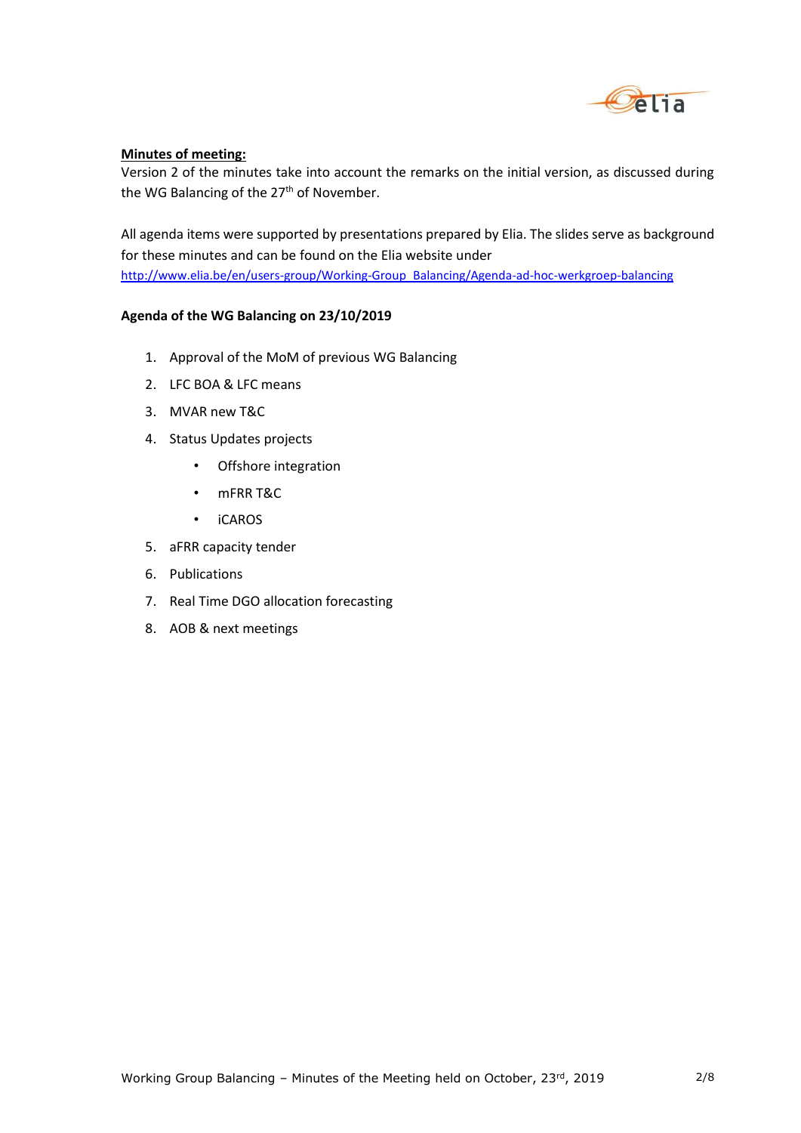

#### **Minutes of meeting:**

Version 2 of the minutes take into account the remarks on the initial version, as discussed during the WG Balancing of the 27<sup>th</sup> of November.

All agenda items were supported by presentations prepared by Elia. The slides serve as background for these minutes and can be found on the Elia website under [http://www.elia.be/en/users-group/Working-Group\\_Balancing/Agenda-ad-hoc-werkgroep-balancing](http://www.elia.be/en/users-group/Working-Group_Balancing/Agenda-ad-hoc-werkgroep-balancing)

#### **Agenda of the WG Balancing on 23/10/2019**

- 1. Approval of the MoM of previous WG Balancing
- 2. LFC BOA & LFC means
- 3. MVAR new T&C
- 4. Status Updates projects
	- Offshore integration
	- mFRR T&C
	- iCAROS
- 5. aFRR capacity tender
- 6. Publications
- 7. Real Time DGO allocation forecasting
- 8. AOB & next meetings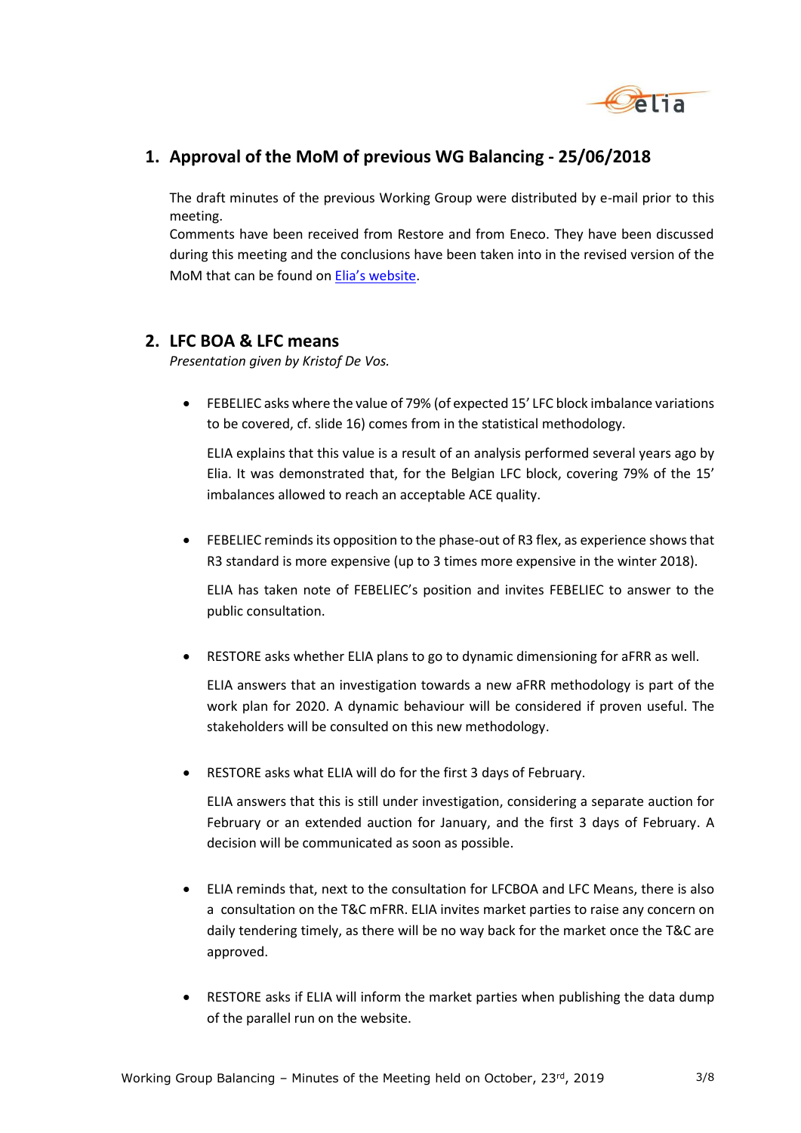

## **1. Approval of the MoM of previous WG Balancing - 25/06/2018**

The draft minutes of the previous Working Group were distributed by e-mail prior to this meeting.

Comments have been received from Restore and from Eneco. They have been discussed during this meeting and the conclusions have been taken into in the revised version of the MoM that can be found on [Elia's website](http://www.elia.be/en/users-group/Working-Group_Balancing/Agenda-ad-hoc-werkgroep-balancing).

## **2. LFC BOA & LFC means**

*Presentation given by Kristof De Vos.*

 FEBELIEC asks where the value of 79% (of expected 15' LFC block imbalance variations to be covered, cf. slide 16) comes from in the statistical methodology.

ELIA explains that this value is a result of an analysis performed several years ago by Elia. It was demonstrated that, for the Belgian LFC block, covering 79% of the 15' imbalances allowed to reach an acceptable ACE quality.

 FEBELIEC reminds its opposition to the phase-out of R3 flex, as experience shows that R3 standard is more expensive (up to 3 times more expensive in the winter 2018).

ELIA has taken note of FEBELIEC's position and invites FEBELIEC to answer to the public consultation.

RESTORE asks whether ELIA plans to go to dynamic dimensioning for aFRR as well.

ELIA answers that an investigation towards a new aFRR methodology is part of the work plan for 2020. A dynamic behaviour will be considered if proven useful. The stakeholders will be consulted on this new methodology.

RESTORE asks what ELIA will do for the first 3 days of February.

ELIA answers that this is still under investigation, considering a separate auction for February or an extended auction for January, and the first 3 days of February. A decision will be communicated as soon as possible.

- ELIA reminds that, next to the consultation for LFCBOA and LFC Means, there is also a consultation on the T&C mFRR. ELIA invites market parties to raise any concern on daily tendering timely, as there will be no way back for the market once the T&C are approved.
- RESTORE asks if ELIA will inform the market parties when publishing the data dump of the parallel run on the website.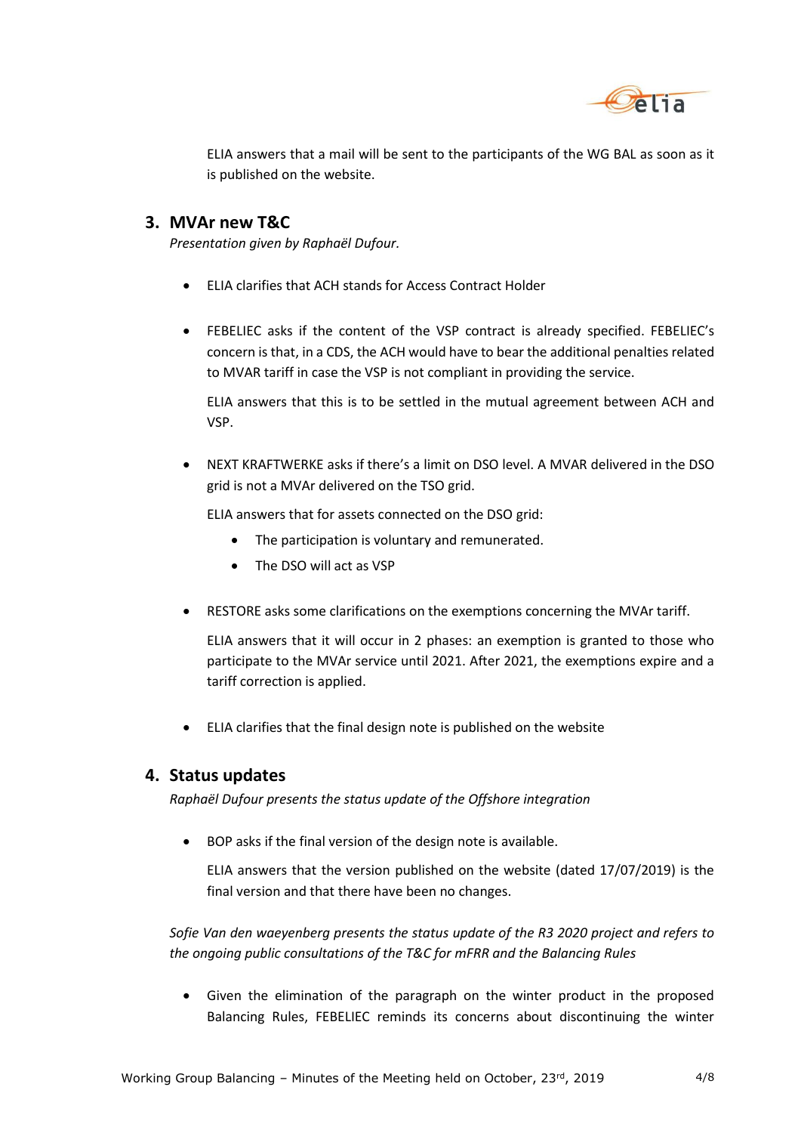

ELIA answers that a mail will be sent to the participants of the WG BAL as soon as it is published on the website.

## **3. MVAr new T&C**

*Presentation given by Raphaël Dufour.*

- ELIA clarifies that ACH stands for Access Contract Holder
- FEBELIEC asks if the content of the VSP contract is already specified. FEBELIEC's concern is that, in a CDS, the ACH would have to bear the additional penalties related to MVAR tariff in case the VSP is not compliant in providing the service.

ELIA answers that this is to be settled in the mutual agreement between ACH and VSP.

 NEXT KRAFTWERKE asks if there's a limit on DSO level. A MVAR delivered in the DSO grid is not a MVAr delivered on the TSO grid.

ELIA answers that for assets connected on the DSO grid:

- The participation is voluntary and remunerated.
- The DSO will act as VSP
- RESTORE asks some clarifications on the exemptions concerning the MVAr tariff.

ELIA answers that it will occur in 2 phases: an exemption is granted to those who participate to the MVAr service until 2021. After 2021, the exemptions expire and a tariff correction is applied.

ELIA clarifies that the final design note is published on the website

## **4. Status updates**

*Raphaël Dufour presents the status update of the Offshore integration*

BOP asks if the final version of the design note is available.

ELIA answers that the version published on the website (dated 17/07/2019) is the final version and that there have been no changes.

*Sofie Van den waeyenberg presents the status update of the R3 2020 project and refers to the ongoing public consultations of the T&C for mFRR and the Balancing Rules*

 Given the elimination of the paragraph on the winter product in the proposed Balancing Rules, FEBELIEC reminds its concerns about discontinuing the winter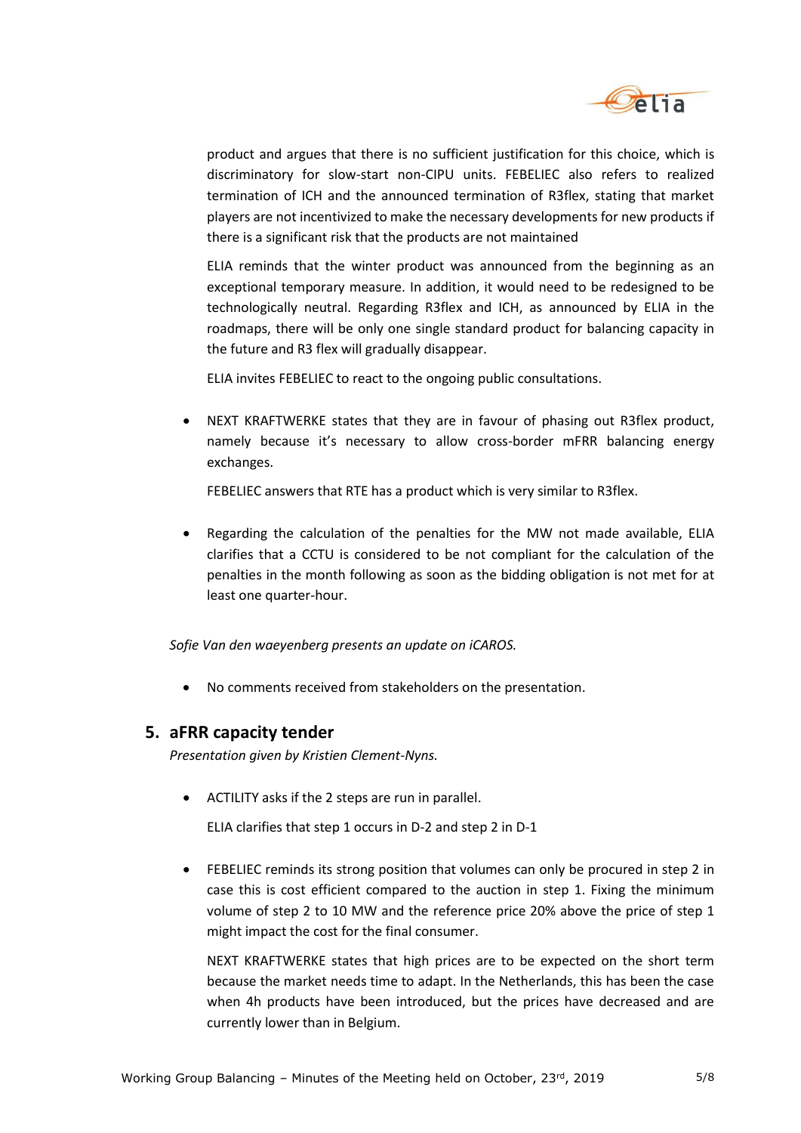

product and argues that there is no sufficient justification for this choice, which is discriminatory for slow-start non-CIPU units. FEBELIEC also refers to realized termination of ICH and the announced termination of R3flex, stating that market players are not incentivized to make the necessary developments for new products if there is a significant risk that the products are not maintained

ELIA reminds that the winter product was announced from the beginning as an exceptional temporary measure. In addition, it would need to be redesigned to be technologically neutral. Regarding R3flex and ICH, as announced by ELIA in the roadmaps, there will be only one single standard product for balancing capacity in the future and R3 flex will gradually disappear.

ELIA invites FEBELIEC to react to the ongoing public consultations.

 NEXT KRAFTWERKE states that they are in favour of phasing out R3flex product, namely because it's necessary to allow cross-border mFRR balancing energy exchanges.

FEBELIEC answers that RTE has a product which is very similar to R3flex.

 Regarding the calculation of the penalties for the MW not made available, ELIA clarifies that a CCTU is considered to be not compliant for the calculation of the penalties in the month following as soon as the bidding obligation is not met for at least one quarter-hour.

*Sofie Van den waeyenberg presents an update on iCAROS.*

No comments received from stakeholders on the presentation.

#### **5. aFRR capacity tender**

*Presentation given by Kristien Clement-Nyns.*

ACTILITY asks if the 2 steps are run in parallel.

ELIA clarifies that step 1 occurs in D-2 and step 2 in D-1

 FEBELIEC reminds its strong position that volumes can only be procured in step 2 in case this is cost efficient compared to the auction in step 1. Fixing the minimum volume of step 2 to 10 MW and the reference price 20% above the price of step 1 might impact the cost for the final consumer.

NEXT KRAFTWERKE states that high prices are to be expected on the short term because the market needs time to adapt. In the Netherlands, this has been the case when 4h products have been introduced, but the prices have decreased and are currently lower than in Belgium.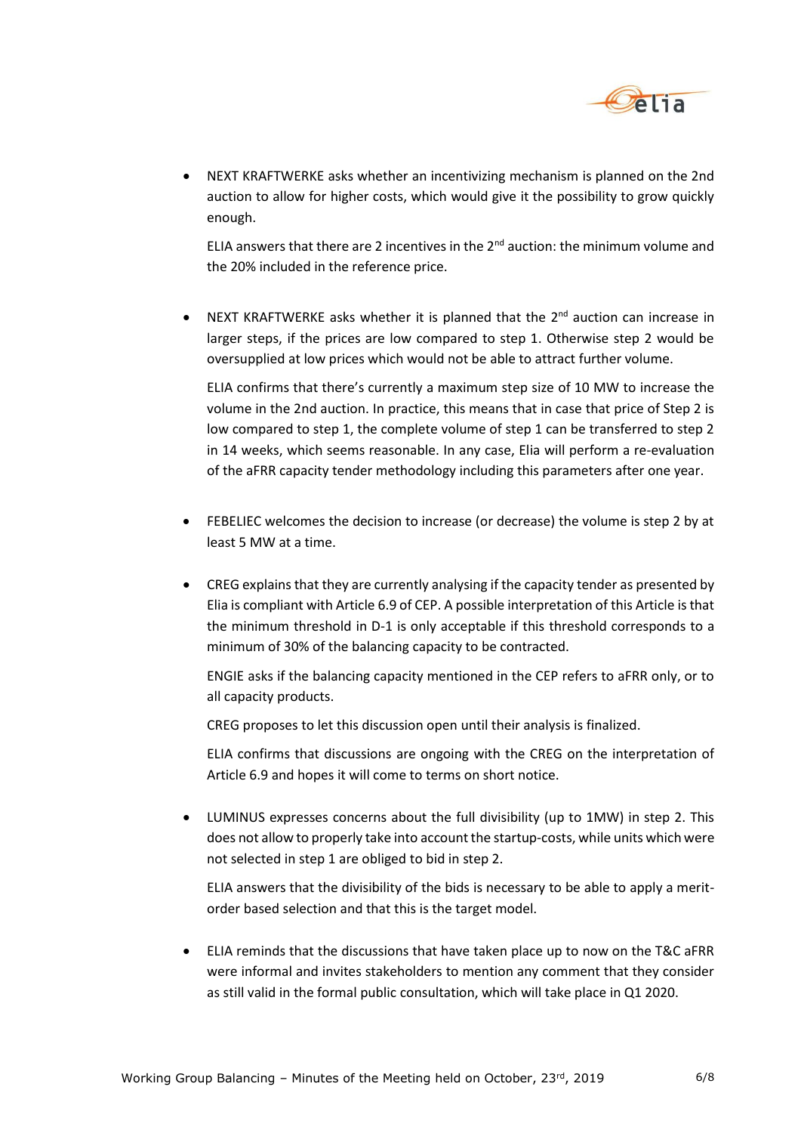

 NEXT KRAFTWERKE asks whether an incentivizing mechanism is planned on the 2nd auction to allow for higher costs, which would give it the possibility to grow quickly enough.

ELIA answers that there are 2 incentives in the  $2<sup>nd</sup>$  auction: the minimum volume and the 20% included in the reference price.

• NEXT KRAFTWERKE asks whether it is planned that the  $2^{nd}$  auction can increase in larger steps, if the prices are low compared to step 1. Otherwise step 2 would be oversupplied at low prices which would not be able to attract further volume.

ELIA confirms that there's currently a maximum step size of 10 MW to increase the volume in the 2nd auction. In practice, this means that in case that price of Step 2 is low compared to step 1, the complete volume of step 1 can be transferred to step 2 in 14 weeks, which seems reasonable. In any case, Elia will perform a re-evaluation of the aFRR capacity tender methodology including this parameters after one year.

- FEBELIEC welcomes the decision to increase (or decrease) the volume is step 2 by at least 5 MW at a time.
- CREG explains that they are currently analysing if the capacity tender as presented by Elia is compliant with Article 6.9 of CEP. A possible interpretation of this Article is that the minimum threshold in D-1 is only acceptable if this threshold corresponds to a minimum of 30% of the balancing capacity to be contracted.

ENGIE asks if the balancing capacity mentioned in the CEP refers to aFRR only, or to all capacity products.

CREG proposes to let this discussion open until their analysis is finalized.

ELIA confirms that discussions are ongoing with the CREG on the interpretation of Article 6.9 and hopes it will come to terms on short notice.

 LUMINUS expresses concerns about the full divisibility (up to 1MW) in step 2. This does not allow to properly take into account the startup-costs, while units which were not selected in step 1 are obliged to bid in step 2.

ELIA answers that the divisibility of the bids is necessary to be able to apply a meritorder based selection and that this is the target model.

 ELIA reminds that the discussions that have taken place up to now on the T&C aFRR were informal and invites stakeholders to mention any comment that they consider as still valid in the formal public consultation, which will take place in Q1 2020.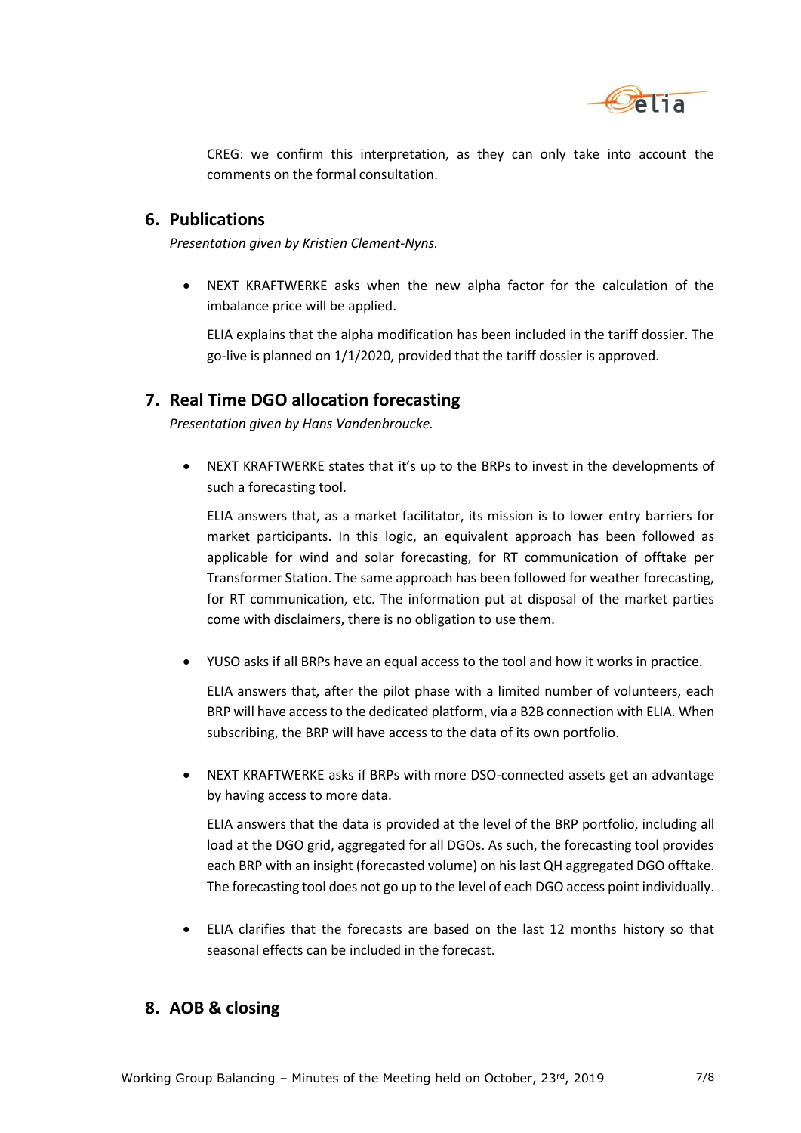

CREG: we confirm this interpretation, as they can only take into account the comments on the formal consultation.

#### **6. Publications**

*Presentation given by Kristien Clement-Nyns.*

 NEXT KRAFTWERKE asks when the new alpha factor for the calculation of the imbalance price will be applied.

ELIA explains that the alpha modification has been included in the tariff dossier. The go-live is planned on 1/1/2020, provided that the tariff dossier is approved.

## **7. Real Time DGO allocation forecasting**

*Presentation given by Hans Vandenbroucke.*

 NEXT KRAFTWERKE states that it's up to the BRPs to invest in the developments of such a forecasting tool.

ELIA answers that, as a market facilitator, its mission is to lower entry barriers for market participants. In this logic, an equivalent approach has been followed as applicable for wind and solar forecasting, for RT communication of offtake per Transformer Station. The same approach has been followed for weather forecasting, for RT communication, etc. The information put at disposal of the market parties come with disclaimers, there is no obligation to use them.

YUSO asks if all BRPs have an equal access to the tool and how it works in practice.

ELIA answers that, after the pilot phase with a limited number of volunteers, each BRP will have access to the dedicated platform, via a B2B connection with ELIA. When subscribing, the BRP will have access to the data of its own portfolio.

 NEXT KRAFTWERKE asks if BRPs with more DSO-connected assets get an advantage by having access to more data.

ELIA answers that the data is provided at the level of the BRP portfolio, including all load at the DGO grid, aggregated for all DGOs. As such, the forecasting tool provides each BRP with an insight (forecasted volume) on his last QH aggregated DGO offtake. The forecasting tool does not go up to the level of each DGO access point individually.

 ELIA clarifies that the forecasts are based on the last 12 months history so that seasonal effects can be included in the forecast.

## **8. AOB & closing**